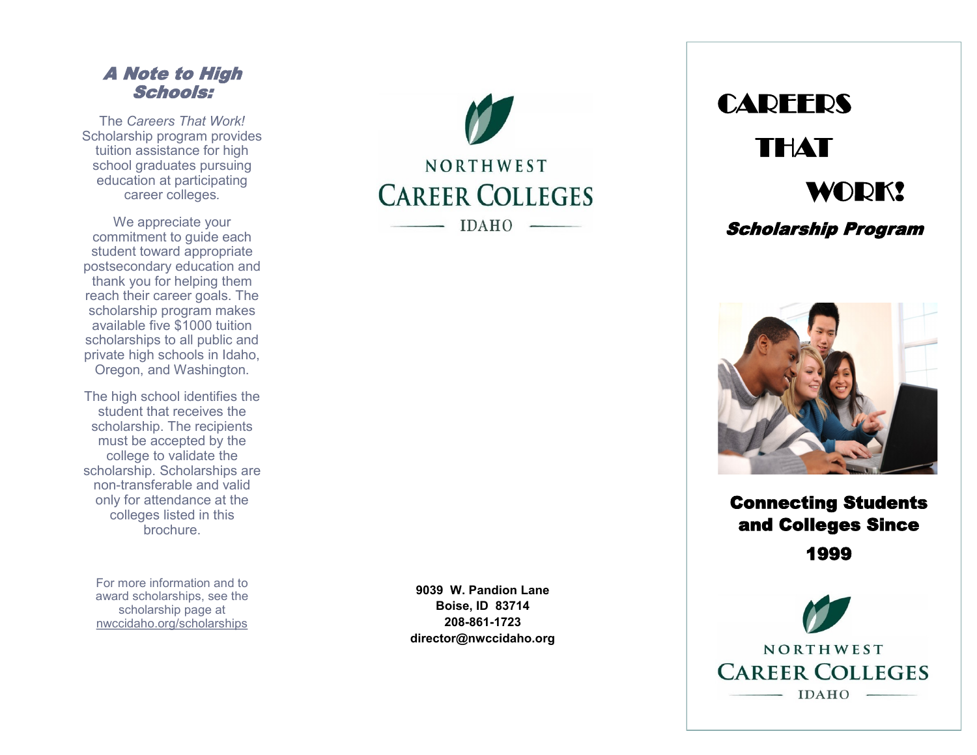## A Note to High Schools:

The *Careers That Work!*  Scholarship program provides tuition assistance for high school graduates pursuing education at participating career colleges *.*

We appreciate your commitment to guide each student toward appropriate postsecondary education and thank you for helping them reach their career goals. The scholarship program makes available five \$1000 tuition scholarships to all public and private high schools in Idaho, Oregon, and Washington.

The high school identifies the student that receives the scholarship. The recipients must be accepted by the college to validate the scholarship. Scholarships are non -transferable and valid only for attendance at the colleges listed in this brochure.

For more information and to award scholarships, see the scholarship page at nwccidaho.org/scholarships

**9039 W. Pandion Lane Boise, ID 83714 208 -861 -1723 director@nwccidaho.org**

NORTHWEST

**CAREER COLLEGES** 

**IDAHO** 





Connecting Students and Colleges Since

1999